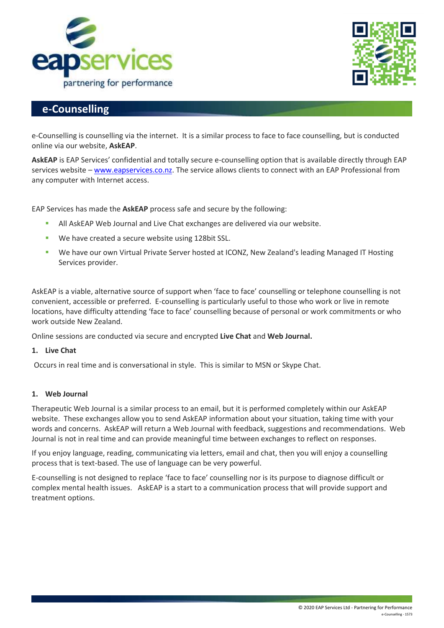



# **e-Counselling**

e-Counselling is counselling via the internet. It is a similar process to face to face counselling, but is conducted online via our website, **AskEAP**.

**AskEAP** is EAP Services' confidential and totally secure e-counselling option that is available directly through EAP services website – [www.eapservices.co.nz.](http://www.eapservices.co.nz/) The service allows clients to connect with an EAP Professional from any computer with Internet access.

EAP Services has made the **AskEAP** process safe and secure by the following:

- **EXEL All AskEAP Web Journal and Live Chat exchanges are delivered via our website.**
- We have created a secure website using 128bit SSL.
- We have our own Virtual Private Server hosted at ICONZ, New Zealand's leading Managed IT Hosting Services provider.

AskEAP is a viable, alternative source of support when 'face to face' counselling or telephone counselling is not convenient, accessible or preferred. E-counselling is particularly useful to those who work or live in remote locations, have difficulty attending 'face to face' counselling because of personal or work commitments or who work outside New Zealand.

Online sessions are conducted via secure and encrypted **Live Chat** and **Web Journal.**

# **1. Live Chat**

Occurs in real time and is conversational in style. This is similar to MSN or Skype Chat.

# **1. Web Journal**

Therapeutic Web Journal is a similar process to an email, but it is performed completely within our AskEAP website. These exchanges allow you to send AskEAP information about your situation, taking time with your words and concerns. AskEAP will return a Web Journal with feedback, suggestions and recommendations. Web Journal is not in real time and can provide meaningful time between exchanges to reflect on responses.

If you enjoy language, reading, communicating via letters, email and chat, then you will enjoy a counselling process that is text-based. The use of language can be very powerful.

E-counselling is not designed to replace 'face to face' counselling nor is its purpose to diagnose difficult or complex mental health issues. AskEAP is a start to a communication process that will provide support and treatment options.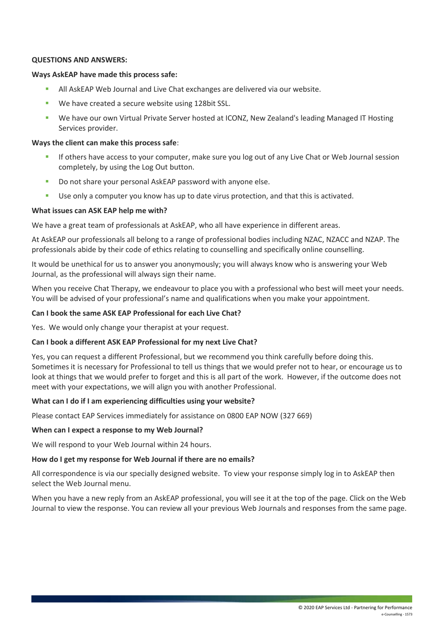## **QUESTIONS AND ANSWERS:**

#### **Ways AskEAP have made this process safe:**

- **E** All AskEAP Web Journal and Live Chat exchanges are delivered via our website.
- We have created a secure website using 128bit SSL.
- We have our own Virtual Private Server hosted at ICONZ, New Zealand's leading Managed IT Hosting Services provider.

# **Ways the client can make this process safe**:

- If others have access to your computer, make sure you log out of any Live Chat or Web Journal session completely, by using the Log Out button.
- Do not share your personal AskEAP password with anyone else.
- Use only a computer you know has up to date virus protection, and that this is activated.

## **What issues can ASK EAP help me with?**

We have a great team of professionals at AskEAP, who all have experience in different areas.

At AskEAP our professionals all belong to a range of professional bodies including NZAC, NZACC and NZAP. The professionals abide by their code of ethics relating to counselling and specifically online counselling.

It would be unethical for us to answer you anonymously; you will always know who is answering your Web Journal, as the professional will always sign their name.

When you receive Chat Therapy, we endeavour to place you with a professional who best will meet your needs. You will be advised of your professional's name and qualifications when you make your appointment.

## **Can I book the same ASK EAP Professional for each Live Chat?**

Yes. We would only change your therapist at your request.

#### **Can I book a different ASK EAP Professional for my next Live Chat?**

Yes, you can request a different Professional, but we recommend you think carefully before doing this. Sometimes it is necessary for Professional to tell us things that we would prefer not to hear, or encourage us to look at things that we would prefer to forget and this is all part of the work. However, if the outcome does not meet with your expectations, we will align you with another Professional.

#### **What can I do if I am experiencing difficulties using your website?**

Please contact EAP Services immediately for assistance on 0800 EAP NOW (327 669)

#### **When can I expect a response to my Web Journal?**

We will respond to your Web Journal within 24 hours.

# **How do I get my response for Web Journal if there are no emails?**

All correspondence is via our specially designed website. To view your response simply log in to AskEAP then select the Web Journal menu.

When you have a new reply from an AskEAP professional, you will see it at the top of the page. Click on the Web Journal to view the response. You can review all your previous Web Journals and responses from the same page.